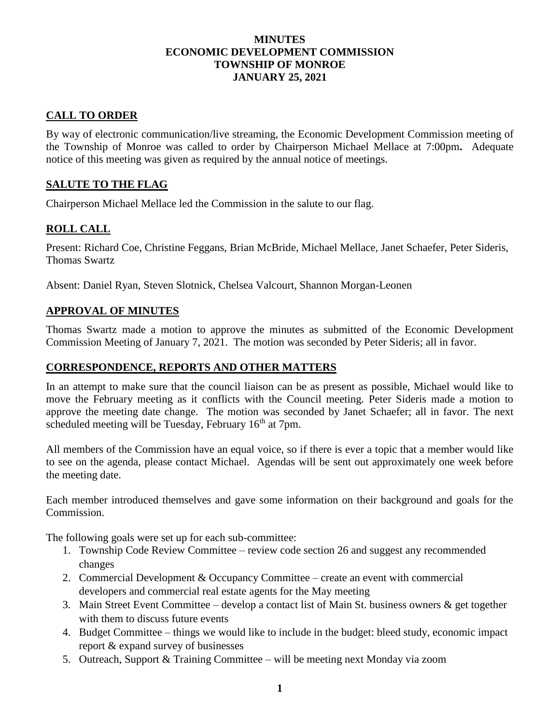### **MINUTES ECONOMIC DEVELOPMENT COMMISSION TOWNSHIP OF MONROE JANUARY 25, 2021**

# **CALL TO ORDER**

By way of electronic communication/live streaming, the Economic Development Commission meeting of the Township of Monroe was called to order by Chairperson Michael Mellace at 7:00pm**.** Adequate notice of this meeting was given as required by the annual notice of meetings.

## **SALUTE TO THE FLAG**

Chairperson Michael Mellace led the Commission in the salute to our flag.

## **ROLL CALL**

Present: Richard Coe, Christine Feggans, Brian McBride, Michael Mellace, Janet Schaefer, Peter Sideris, Thomas Swartz

Absent: Daniel Ryan, Steven Slotnick, Chelsea Valcourt, Shannon Morgan-Leonen

### **APPROVAL OF MINUTES**

Thomas Swartz made a motion to approve the minutes as submitted of the Economic Development Commission Meeting of January 7, 2021. The motion was seconded by Peter Sideris; all in favor.

#### **CORRESPONDENCE, REPORTS AND OTHER MATTERS**

In an attempt to make sure that the council liaison can be as present as possible, Michael would like to move the February meeting as it conflicts with the Council meeting. Peter Sideris made a motion to approve the meeting date change. The motion was seconded by Janet Schaefer; all in favor. The next scheduled meeting will be Tuesday, February  $16<sup>th</sup>$  at 7pm.

All members of the Commission have an equal voice, so if there is ever a topic that a member would like to see on the agenda, please contact Michael. Agendas will be sent out approximately one week before the meeting date.

Each member introduced themselves and gave some information on their background and goals for the Commission.

The following goals were set up for each sub-committee:

- 1. Township Code Review Committee review code section 26 and suggest any recommended changes
- 2. Commercial Development & Occupancy Committee create an event with commercial developers and commercial real estate agents for the May meeting
- 3. Main Street Event Committee develop a contact list of Main St. business owners & get together with them to discuss future events
- 4. Budget Committee things we would like to include in the budget: bleed study, economic impact report & expand survey of businesses
- 5. Outreach, Support & Training Committee will be meeting next Monday via zoom